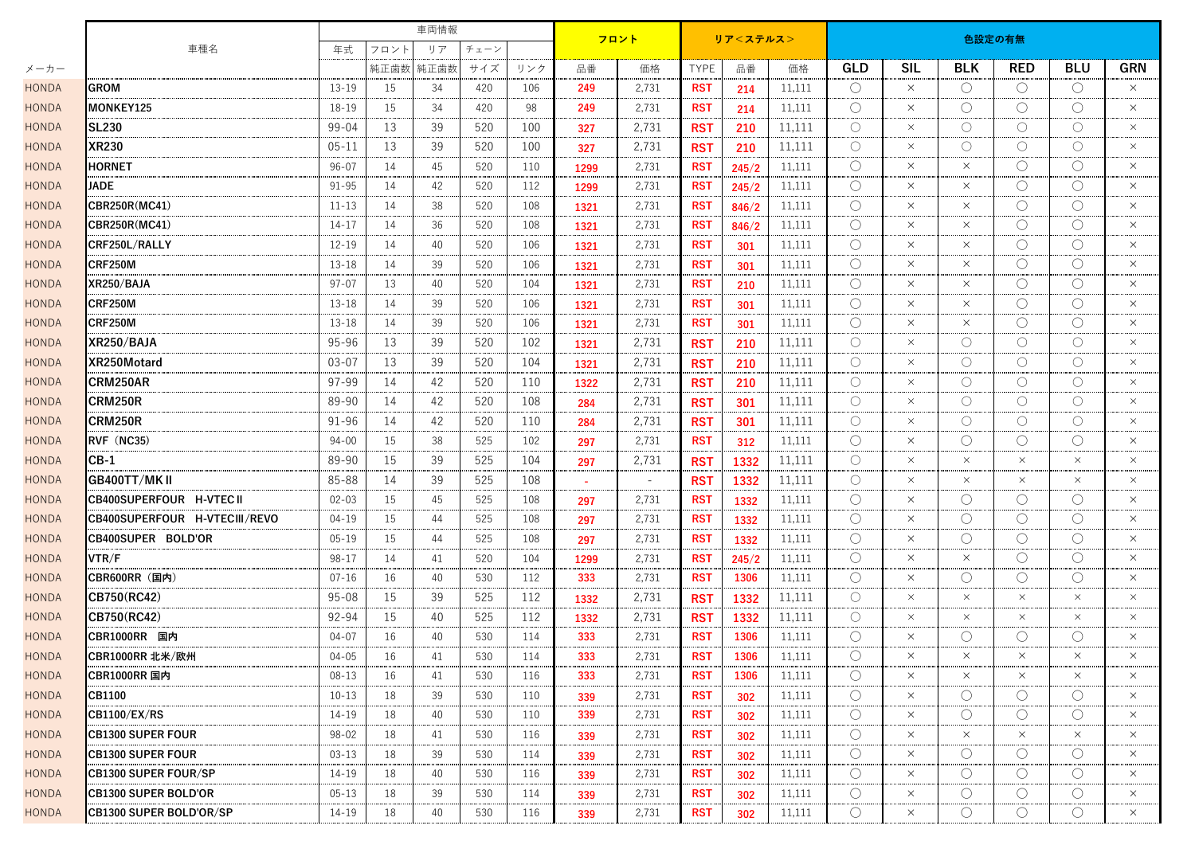|              |                                 |           |                          | 車両情報 |     |     |          | フロント                     |                 |       |        | 色設定の有無              |            |                     |                                             |                     |            |  |  |
|--------------|---------------------------------|-----------|--------------------------|------|-----|-----|----------|--------------------------|-----------------|-------|--------|---------------------|------------|---------------------|---------------------------------------------|---------------------|------------|--|--|
|              | 車種名                             |           | 年式<br>フロント<br>リア<br>チェーン |      |     |     | リア<ステルス> |                          |                 |       |        |                     |            |                     |                                             |                     |            |  |  |
| メーカー         |                                 |           | 純正歯数                     | 純正歯数 | サイズ | リンク | 品番       | 価格                       | <b>TYPE</b>     | 品番    | 価格     | <b>GLD</b>          | <b>SIL</b> | <b>BLK</b>          | <b>RED</b>                                  | <b>BLU</b>          | <b>GRN</b> |  |  |
| <b>HONDA</b> | <b>GROM</b>                     | $13 - 19$ | 15                       | 34   | 420 | 106 | 249      | 2,731                    | <b>RST</b>      | 214   | 11,111 | O                   | $\times$   | $\bigcirc$          | O                                           | $\bigcirc$          | $\times$   |  |  |
| <b>HONDA</b> | MONKEY125                       | 18-19     | 15                       | -34  | 420 | 98  | 249      | 2,731                    | <b>RST</b>      | 214   | 11,111 | $\bigcirc$          | $\times$   | $\bigcirc$          | O                                           | $\bigcirc$          | $\times$   |  |  |
| <b>HONDA</b> | <b>SL230</b>                    | 99-04     | 13                       | 39   | 520 | 100 | 327      | 2,731                    | <b>RST</b>      | 210   | 11,111 | $\bigcirc$          | $\times$   | O                   | O                                           | $\bigcirc$          | $\times$   |  |  |
| <b>HONDA</b> | <b>XR230</b>                    | $05 - 11$ | 13                       | 39   | 520 | 100 | 327      | 2,731                    | <b>RST</b>      | 210   | 11,111 | O                   | $\times$   | O                   | O                                           | $\bigcirc$          | $\times$   |  |  |
| <b>HONDA</b> | <b>HORNET</b>                   | $96 - 07$ | 14                       | 45   | 520 | 110 | 1299     | 2,731                    | <b>RST</b>      | 245/2 | 11,111 | $\bigcirc$          | $\times$   | $\times$            | $\bigcirc$                                  | $\bigcirc$          | $\times$   |  |  |
| <b>HONDA</b> | <b>JADE</b>                     | $91 - 95$ | 14                       | 42   | 520 | 112 | 1299     | 2,731                    | <b>RST</b>      | 245/2 | 11,111 | O                   | $\times$   | $\times$            | O                                           | O                   | $\times$   |  |  |
| <b>HONDA</b> | <b>CBR250R(MC41)</b>            | $11 - 13$ | 14                       | 38   | 520 | 108 | 1321     | 2,731                    | <b>RST</b>      | 846/2 | 11,111 | $\bigcirc$          | $\times$   | $\times$            | ◯                                           | $\bigcirc$          | $\times$   |  |  |
| <b>HONDA</b> | CBR250R(MC41)                   | 14-17     | 14                       | 36   | 520 | 108 | 1321     | 2,731                    | <b>RST</b>      | 846/2 | 11,111 | $\bigcirc$          | $\times$   | $\times$            | O                                           | $\bigcirc$          | $\times$   |  |  |
| <b>HONDA</b> | CRF250L/RALLY                   | $12 - 19$ | 14                       | 40   | 520 | 106 | 1321     | 2,731                    | <b>RST</b>      | 301   | 11,111 | O                   | $\times$   | $\times$            | $\left(\right)$                             | O                   | $\times$   |  |  |
| <b>HONDA</b> | <b>CRF250M</b>                  | $13 - 18$ | 14                       | 39   | 520 | 106 | 1321     | 2,731                    | <b>RST</b>      | 301   | 11,111 | $\bigcirc$          | $\times$   | $\times$            | ◯                                           | $\bigcirc$          | $\times$   |  |  |
| <b>HONDA</b> | XR250/BAJA                      | $97 - 07$ | 13                       | 40   | 520 | 104 | 1321     | 2,731                    | <b>RST</b>      | 210   | 11,111 | О                   | $\times$   | $\times$            | O                                           | O                   | $\times$   |  |  |
| <b>HONDA</b> | <b>CRF250M</b>                  | $13 - 18$ | 14                       | 39   | 520 | 106 | 1321     | 2,731                    | <b>RST</b>      | 301   | 11,111 | O                   | $\times$   | $\times$            | $\left(\begin{array}{c} \end{array}\right)$ | $\bigcirc$          | $\times$   |  |  |
| <b>HONDA</b> | CRF250M                         | $13 - 18$ | 14                       | 39   | 520 | 106 | 1321     | 2,731                    | <b>RST</b>      | 301   | 11,111 | $\bigcirc$          | $\times$   | $\times$            | ○                                           | $\bigcirc$          | $\times$   |  |  |
| <b>HONDA</b> | XR250/BAJA                      | 95-96     | 13                       | 39   | 520 | 102 | 1321     | 2,731                    | <b>RST</b>      | 210   | 11,111 | O                   | $\times$   | O                   | O                                           | $\circlearrowright$ | $\times$   |  |  |
| <b>HONDA</b> | XR250Motard                     | $03 - 07$ | 13                       | 39   | 520 | 104 | 1321     | 2,731                    | <b>RST</b>      | 210   | 11,111 | O                   | $\times$   | O                   | O                                           | $\bigcirc$          | $\times$   |  |  |
| <b>HONDA</b> | CRM250AR                        | 97-99     | 14                       | 42   | 520 | 110 | 1322     | 2,731                    | <b>RST</b>      | 210   | 11,111 | $\circlearrowright$ | $\times$   | O                   | O                                           | $\bigcirc$          | $\times$   |  |  |
| <b>HONDA</b> | CRM250R                         | 89-90     | 14                       | 42   | 520 | 108 | 284      | 2,731                    | <b>RST</b>      | 301   | 11,111 | $\bigcirc$          | $\times$   | $\bigcirc$          | ○                                           | $\bigcirc$          | $\times$   |  |  |
| <b>HONDA</b> | CRM250R                         | 91-96     | 14                       | 42   | 520 | 110 | 284      | 2,731                    | <b>RST</b>      | 301   | 11,111 | $\bigcirc$          | $\times$   | $\bigcirc$          | O                                           | $\bigcirc$          | $\times$   |  |  |
| <b>HONDA</b> | RVF (NC35)                      | $94 - 00$ | 15                       | 38   | 525 | 102 | 297      | 2,731                    | <b>RST</b>      | 312   | 11,111 | O                   | $\times$   | $\left(\right)$     | $\left(\right)$                             | $\left(\right)$     | $\times$   |  |  |
| <b>HONDA</b> | $CB-1$                          | 89-90     | 15                       | 39   | 525 | 104 | 297      | 2,731                    | <b>RST</b>      | 1332  | 11,111 | $\bigcirc$          | $\times$   | $\times$            | $\times$                                    | $\times$            | $\times$   |  |  |
| <b>HONDA</b> | GB400TT/MK II                   | 85-88     | 14                       | 39   | 525 | 108 |          | $\overline{\phantom{a}}$ | <b>RS1</b>      | 1332  | 11,111 | O                   | $\times$   | $\times$            | $\times$                                    | $\times$            | $\times$   |  |  |
| <b>HONDA</b> | <b>CB400SUPERFOUR H-VTEC II</b> | $02 - 03$ | 15                       | 45   | 525 | 108 | 297      | 2,731                    | <b>RST</b>      | 1332  | 11,111 | O                   | $\times$   | $\left( \right)$    | $\left(\begin{array}{c} \end{array}\right)$ | $\left(\right)$     | $\times$   |  |  |
| <b>HONDA</b> | CB400SUPERFOUR H-VTECIII/REVO   | 04-19     | 15                       | 44   | 525 | 108 | 297      | 2,731                    | <b>RST</b>      | 1332  | 11,111 | $\bigcirc$          | $\times$   | $\bigcirc$          | $\bigcirc$                                  | $\bigcirc$          | $\times$   |  |  |
| <b>HONDA</b> | CB400SUPER BOLD'OR              | $05 - 19$ | 15                       | 44   | 525 | 108 | 297      | 2,731                    | <b>RST</b>      | 1332  | 11,111 | O                   | $\times$   | O                   | O                                           | O                   | $\times$   |  |  |
| <b>HONDA</b> | VTR/F                           | $98 - 17$ | 14                       | 41   | 520 | 104 | 1299     | 2,731                    | <b>RST</b>      | 245/2 | 11,111 | $\bigcirc$          | $\times$   | $\times$            | $\bigcirc$                                  | $\bigcirc$          | $\times$   |  |  |
| <b>HONDA</b> | CBR600RR (国内)                   | $07 - 16$ | 16                       | 40   | 530 | 112 | 333      | 2,731                    | <b>RST</b>      | 1306  | 11,111 | O                   | $\times$   | O                   | O                                           | $\bigcirc$          | $\times$   |  |  |
| <b>HONDA</b> | CB750(RC42)                     | $95 - 08$ | 15                       | 39   | 525 | 112 | 1332     | 2,731                    | <b>RST</b>      | 1332  | 11,111 | O                   | $\times$   | $\times$            | $\times$                                    | $\times$            | $\times$   |  |  |
| <b>HONDA</b> | CB750(RC42)                     | 92-94     | 15                       | 40   | 525 | 112 | 1332     | 2,731                    | RS <sub>1</sub> | 1332  | 11,111 | $\circ$             | $\times$   | $\times$            | $\times$                                    | $\times$            | $\times$   |  |  |
| <b>HONDA</b> | CBR1000RR 国内                    | $04 - 07$ | 16                       | 40   | 530 | 114 | 333      | 2,731                    | <b>RST</b>      | 1306  | 11,111 | O                   | $\times$   | O                   | O                                           | O                   | $\times$   |  |  |
| HONDA        | CBR1000RR 北米/欧州                 | $04 - 05$ | 16                       | 41   | 530 | 114 | 333      | 2,731                    | <b>RST</b>      | 1306  | 11,111 | $\bigcirc$          | $\times$   | $\times$            | $\times$                                    | $\times$            | $\times$   |  |  |
| HONDA        | CBR1000RR 国内                    | $08 - 13$ | 16                       | 41   | 530 | 116 | 333      | 2,731                    | <b>RST</b>      | 1306  | 11,111 | $\circlearrowright$ | $\times$   | $\times$            | $\times$                                    | $\times$            | $\times$   |  |  |
| <b>HONDA</b> | <b>CB1100</b>                   | $10 - 13$ | 18                       | 39   | 530 | 110 | 339      | 2,731                    | <b>RST</b>      | 302   | 11,111 | $\circlearrowright$ | $\times$   | $\left( \right)$    | $\left(\right)$                             | $\bigcirc$          | $\times$   |  |  |
| <b>HONDA</b> | <b>CB1100/EX/RS</b>             | 14-19     | 18                       | 40   | 530 | 110 | 339      | 2,731                    | <b>RST</b>      | 302   | 11,111 | $\circlearrowright$ | $\times$   | $\left( \right)$    | $\bigcirc$                                  | $\bigcirc$          | $\times$   |  |  |
| <b>HONDA</b> | <b>CB1300 SUPER FOUR</b>        | $98 - 02$ | 18                       | 41   | 530 | 116 | 339      | 2,731                    | <b>RST</b>      | 302   | 11,111 | O                   | $\times$   | $\times$            | $\times$                                    | $\times$            | $\times$   |  |  |
| <b>HONDA</b> | <b>CB1300 SUPER FOUR</b>        | $03 - 13$ | 18                       | 39   | 530 | 114 | 339      | 2,731                    | <b>RST</b>      | 302   | 11,111 | O                   | $\times$   | $\left( \right)$    | $\bigcirc$                                  | $\bigcirc$          | $\times$   |  |  |
| <b>HONDA</b> | <b>CB1300 SUPER FOUR/SP</b>     | 14-19     | 18                       | 40   | 530 | 116 | 339      | 2,731                    | <b>RST</b>      | 302   | 11,111 | $\circlearrowright$ | $\times$   | $\circlearrowright$ | $\circlearrowright$                         | $\bigcirc$          | $\times$   |  |  |
| <b>HONDA</b> | <b>CB1300 SUPER BOLD'OR</b>     | $05 - 13$ | 18                       | 39   | 530 | 114 | 339      | 2,731                    | <b>RST</b>      | 302   | 11,111 | O                   | $\times$   | $\circlearrowright$ | $\circlearrowright$                         | $\circlearrowright$ | $\times$   |  |  |
| <b>HONDA</b> | <b>CB1300 SUPER BOLD'OR/SP</b>  | 14-19     | 18                       | 40   | 530 | 116 | 339      | 2,731                    | <b>RST</b>      | 302   | 11,111 | $\circlearrowright$ | $\times$   | $\cup$              | $\circlearrowright$                         | $\circ$             | $\times$   |  |  |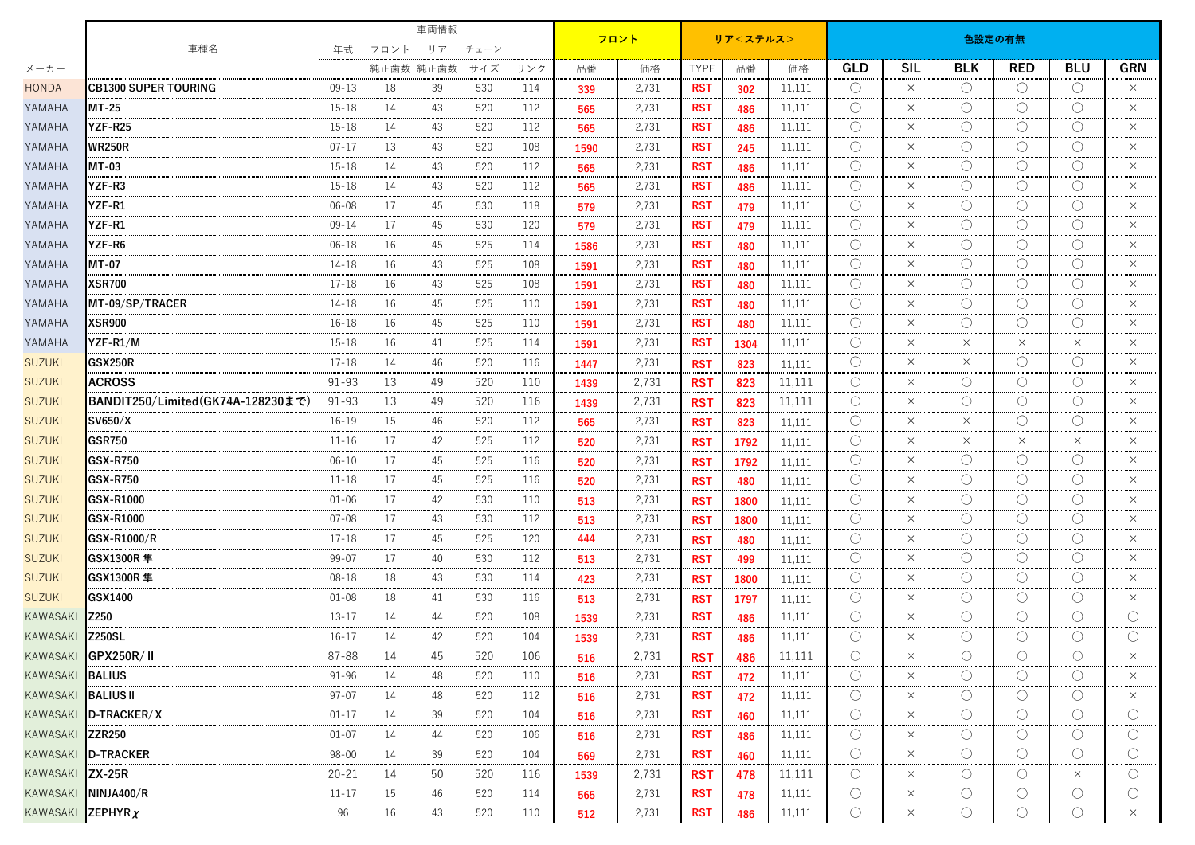|                           | 車種名                               |           |      | 車両情報 |      |     | フロント |       |             |      | 色設定の有無 |                     |            |                     |                     |                     |                  |  |
|---------------------------|-----------------------------------|-----------|------|------|------|-----|------|-------|-------------|------|--------|---------------------|------------|---------------------|---------------------|---------------------|------------------|--|
|                           |                                   |           | フロント | リア   | チェーン |     |      |       | リア<ステルス>    |      |        |                     |            |                     |                     |                     |                  |  |
| メーカー                      |                                   |           | 純正歯数 | 純正歯数 | サイズ  | リンク | 品番   | 価格    | <b>TYPE</b> | 品番   | 価格     | <b>GLD</b>          | <b>SIL</b> | <b>BLK</b>          | <b>RED</b>          | <b>BLU</b>          | <b>GRN</b>       |  |
| <b>HONDA</b>              | <b>CB1300 SUPER TOURING</b>       | $09 - 13$ | 18   | 39   | 530  | 114 | 339  | 2,731 | <b>RST</b>  | 302  | 11,111 | $\bigcirc$          | $\times$   | $\circlearrowright$ | $\bigcirc$          | $\bigcirc$          | $\times$         |  |
| YAMAHA                    | MT-25                             | $15 - 18$ | 14   | 43   | 520  | 112 | 565  | 2,731 | <b>RST</b>  | 486  | 11,111 | $\bigcirc$          | $\times$   | О                   | $\bigcirc$          | $\bigcirc$          | $\times$         |  |
| YAMAHA                    | YZF-R25                           | $15 - 18$ | 14   | 43   | 520  | 112 | 565  | 2,731 | <b>RST</b>  | 486  | 11,111 | O                   | $\times$   | Ο                   | $\bigcirc$          | $\bigcirc$          | $\times$         |  |
| YAMAHA                    | <b>WR250R</b>                     | $07 - 17$ | 13   | 43   | 520  | 108 | 1590 | 2,731 | <b>RST</b>  | 245  | 11,111 | $\bigcirc$          | $\times$   | O                   | O                   | $\bigcirc$          | $\times$         |  |
| YAMAHA                    | MT-03                             | $15 - 18$ | 14   | 43   | 520  | 112 | 565  | 2,731 | <b>RST</b>  | 486  | 11,111 | O                   | $\times$   | О                   | O                   | $\bigcirc$          | $\times$         |  |
| YAMAHA                    | YZF-R3                            | $15 - 18$ | 14   | 43   | 520  | 112 | 565  | 2,731 | <b>RST</b>  | 486  | 11,111 | O                   | $\times$   | O                   | $\bigcirc$          | $\bigcirc$          | $\times$         |  |
| YAMAHA                    | <b>YZF-R1</b>                     | $06 - 08$ | 17   | 45   | 530  | 118 | 579  | 2,731 | <b>RST</b>  | 479  | 11,111 | O                   | $\times$   | О                   | O                   | $\bigcirc$          | $\times$         |  |
| YAMAHA                    | YZF-R1                            | $09 - 14$ | 17   | 45   | 530  | 120 | 579  | 2,731 | <b>RST</b>  | 479  | 11,111 | O                   | $\times$   | О                   | O                   | $\bigcirc$          | $\times$         |  |
| YAMAHA                    | <b>YZF-R6</b>                     | $06 - 18$ | 16   | 45   | 525  | 114 | 1586 | 2,731 | <b>RST</b>  | 480  | 11,111 | $\bigcirc$          | $\times$   | O                   | $\bigcirc$          | $\bigcirc$          | $\times$         |  |
| YAMAHA                    | <b>MT-07</b>                      | 14-18     | 16   | 43   | 525  | 108 | 1591 | 2,731 | <b>RST</b>  | 480  | 11,111 | O                   | $\times$   | О                   | $\circlearrowright$ | $\bigcirc$          | $\times$         |  |
| YAMAHA                    | <b>XSR700</b>                     | $17 - 18$ | 16   | 43   | 525  | 108 | 1591 | 2,731 | <b>RST</b>  | 480  | 11,111 | $\bigcirc$          | $\times$   | О                   | O                   | $\bigcirc$          | $\times$         |  |
| YAMAHA                    | MT-09/SP/TRACER                   | 14-18     | 16   | 45   | 525  | 110 | 1591 | 2,731 | <b>RST</b>  | 480  | 11,111 | ∩                   | $\times$   | Ο                   | O                   | $\bigcirc$          | $\times$         |  |
| YAMAHA                    | <b>XSR900</b>                     | $16 - 18$ | 16   | 45   | 525  | 110 | 1591 | 2,731 | <b>RST</b>  | 480  | 11,111 | O                   | $\times$   | Ο                   | O                   | $\bigcirc$          | $\times$         |  |
| YAMAHA                    | YZF-R1/M                          | $15 - 18$ | 16   | 41   | 525  | 114 | 1591 | 2,731 | <b>RST</b>  | 1304 | 11,111 | $\bigcirc$          | $\times$   | $\times$            | $\times$            | $\times$            | $\times$         |  |
| <b>SUZUKI</b>             | <b>GSX250R</b>                    | $17 - 18$ | 14   | 46   | 520  | 116 | 1447 | 2,731 | <b>RST</b>  | 823  | 11,111 | O                   | $\times$   | $\times$            | O                   | $\bigcirc$          | $\times$         |  |
| <b>SUZUKI</b>             | <b>ACROSS</b>                     | 91-93     | 13   | 49   | 520  | 110 | 1439 | 2,731 | <b>RST</b>  | 823  | 11,111 | $\bigcirc$          | $\times$   | O                   | $\bigcirc$          | $\bigcirc$          | $\times$         |  |
| <b>SUZUKI</b>             | BANDIT250/Limited(GK74A-128230まで) | 91-93     | 13   | 49   | 520  | 116 | 1439 | 2,731 | <b>RST</b>  | 823  | 11,111 | $\bigcirc$          | $\times$   | О                   | $\circlearrowright$ | $\bigcirc$          | $\times$         |  |
| <b>SUZUKI</b>             | SV650/X                           | $16-19$   | 15   | 46   | 520  | 112 | 565  | 2,731 | <b>RST</b>  | 823  | 11,111 | O                   | $\times$   | $\times$            | O                   | $\bigcirc$          | $\times$         |  |
| <b>SUZUKI</b>             | <b>GSR750</b>                     | $11 - 16$ | 17   | 42   | 525  | 112 | 520  | 2,731 | <b>RST</b>  | 1792 | 11,111 | $\bigcirc$          | $\times$   | $\times$            | $\times$            | $\times$            | $\times$         |  |
| <b>SUZUKI</b>             | <b>GSX-R750</b>                   | $06 - 10$ | 17   | 45   | 525  | 116 | 520  | 2,731 | <b>RST</b>  | 1792 | 11,111 | O                   | $\times$   | O                   | O                   | $\bigcirc$          | $\times$         |  |
| <b>SUZUKI</b>             | <b>GSX-R750</b>                   | $11 - 18$ | 17   | 45   | 525  | 116 | 520  | 2,731 | <b>RST</b>  | 480  | 11,111 | $\bigcirc$          | $\times$   | О                   | O                   | $\bigcirc$          | $\times$         |  |
| <b>SUZUKI</b>             | GSX-R1000                         | $01 - 06$ | 17   | 42   | 530  | 110 | 513  | 2,731 | <b>RST</b>  | 1800 | 11,111 | O                   | $\times$   | O                   | $\bigcirc$          | $\bigcirc$          | $\times$         |  |
| <b>SUZUKI</b>             | <b>GSX-R1000</b>                  | $07 - 08$ | 17   | 43   | 530  | 112 | 513  | 2,731 | <b>RST</b>  | 1800 | 11,111 | O                   | $\times$   | Ο                   | $\bigcirc$          | $\bigcirc$          | $\times$         |  |
| <b>SUZUKI</b>             | GSX-R1000/R                       | $17 - 18$ | 17   | 45   | 525  | 120 | 444  | 2,731 | <b>RST</b>  | 480  | 11,111 | $\bigcirc$          | $\times$   | O                   | $\bigcirc$          | $\bigcirc$          | $\times$         |  |
| <b>SUZUKI</b>             | GSX1300R 隼                        | $99 - 07$ | 17   | 40   | 530  | 112 | 513  | 2,731 | <b>RST</b>  | 499  | 11,111 | O                   | $\times$   | О                   | O                   | $\bigcirc$          | $\times$         |  |
| <b>SUZUKI</b>             | GSX1300R 隼                        | $08 - 18$ | 18   | 43   | 530  | 114 | 423  | 2,731 | <b>RST</b>  | 1800 | 11,111 | O                   | $\times$   | Ο                   | $\bigcirc$          | $\bigcirc$          | $\times$         |  |
| <b>SUZUKI</b>             | GSX1400                           | $01 - 08$ | 18   | 41   | 530  | 116 | 513  | 2,731 | <b>RST</b>  | 1797 | 11,111 | $\bigcirc$          | $\times$   | О                   | $\bigcirc$          | $\bigcirc$          | $\times$         |  |
| <b>KAWASAKI</b>           | Z250                              | $13 - 17$ | 14   | 44   | 520  | 108 | 1539 | 2,731 | <b>RST</b>  | 486  | 11,111 | O                   | $\times$   | О                   | O                   | $\bigcirc$          | $\left( \right)$ |  |
| KAWASAKI                  | <b>Z250SL</b>                     | $16-17$   | 14   | 42   | 520  | 104 | 1539 | 2,731 | <b>RST</b>  | 486  | 11,111 | O                   | $\times$   | О                   | $\bigcirc$          | $\circlearrowright$ | $\bigcirc$       |  |
|                           | KAWASAKI GPX250R/II               | 87-88     | 14   | 45   | 520  | 106 | 516  | 2,731 | <b>RST</b>  | 486  | 11,111 | $\bigcirc$          | $\times$   | $\bigcirc$          | $\bigcirc$          | $\circ$             |                  |  |
| <b>KAWASAKI BALIUS</b>    |                                   | 91-96     | 14   | 48   | 520  | 110 | 516  | 2,731 | <b>RST</b>  | 472  | 11,111 | $\circ$             | $\times$   | $\circlearrowright$ | $\bigcirc$          | $\bigcirc$          | $\times$         |  |
| <b>KAWASAKI BALIUS II</b> |                                   | $97 - 07$ | 14   | 48   | 520  | 112 | 516  | 2,731 | <b>RST</b>  | 472  | 11,111 | $\circ$             | $\times$   | $\bigcirc$          | $\circlearrowright$ | $\bigcirc$          | $\times$         |  |
|                           | KAWASAKI D-TRACKER/X              | $01 - 17$ | 14   | 39   | 520  | 104 | 516  | 2,731 | RST         | 460  | 11,111 | O                   | $\times$   | О                   | O                   | $\circlearrowright$ | $\left( \right)$ |  |
| KAWASAKI ZZR250           |                                   | $01 - 07$ | 14   | 44   | 520  | 106 | 516  | 2,731 | <b>RST</b>  | 486  | 11,111 | $\circ$             | $\times$   | $\circlearrowright$ | $\circlearrowright$ | $\circ$             | $\circ$          |  |
|                           | KAWASAKI D-TRACKER                | 98-00     | 14   | 39   | 520  | 104 | 569  | 2,731 | <b>RST</b>  | 460  | 11,111 | O                   | $\times$   | O                   | O                   | $\circlearrowright$ | $\bigcirc$       |  |
| KAWASAKI ZX-25R           |                                   | $20 - 21$ | 14   | 50   | 520  | 116 | 1539 | 2,731 | <b>RST</b>  | 478  | 11,111 | $\circlearrowright$ | $\times$   | $\circ$             | $\circlearrowright$ | $\times$            | $\circ$          |  |
|                           | KAWASAKI NINJA400/R               | $11 - 17$ | 15   | 46   | 520  | 114 | 565  | 2,731 | RST         | 478  | 11,111 | $\circ$             | $\times$   | О                   | $\bigcirc$          | $\bigcirc$          | $\bigcirc$       |  |
| KAWASAKI ZEPHYRX          |                                   | 96        | 16   | 43   | 520  | 110 | 512  | 2,731 | <b>RST</b>  | 486  | 11,111 | $\circlearrowright$ | $\times$   | $\circ$             | О                   | $\circ$             | $\times$         |  |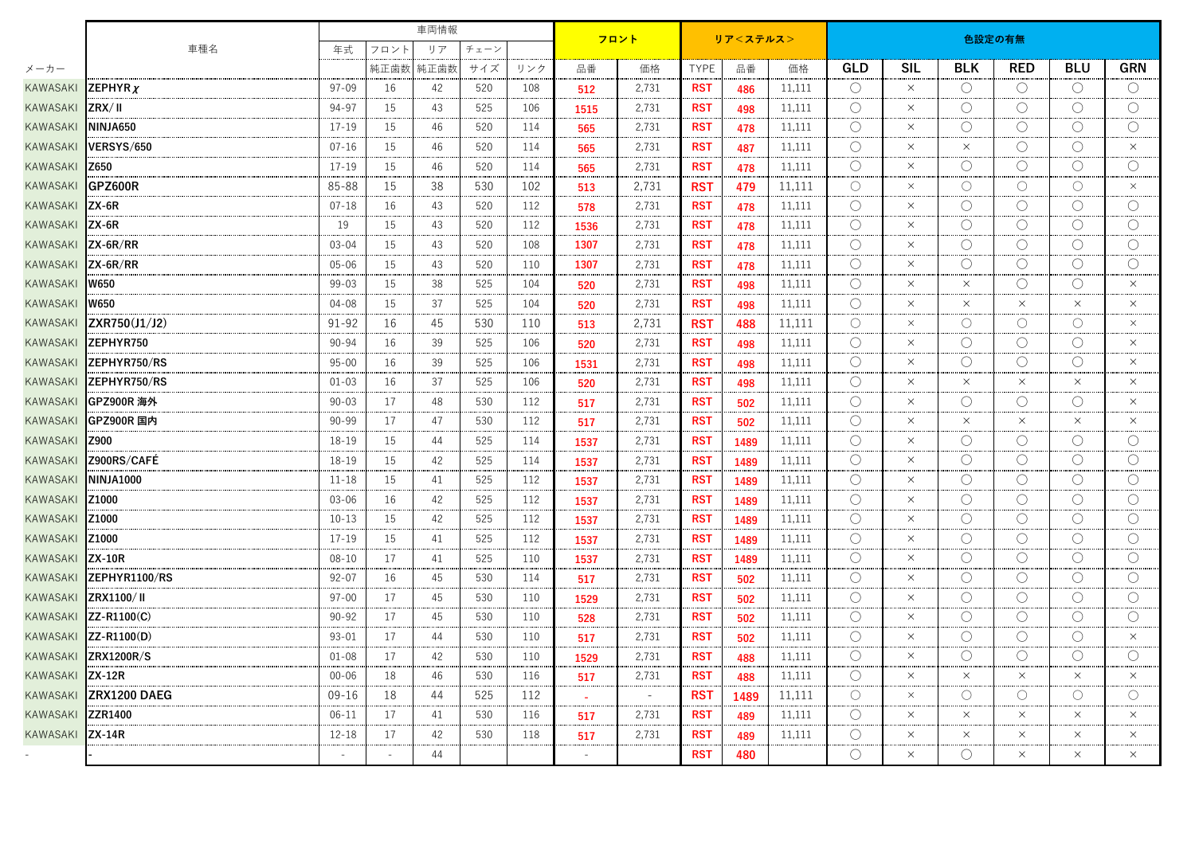|                  |                                               | 車両情報                     |      |            |     |     |        |        | 色設定の有無<br>リア<ステルス> |      |        |                     |            |                     |                     |                     |                     |  |  |
|------------------|-----------------------------------------------|--------------------------|------|------------|-----|-----|--------|--------|--------------------|------|--------|---------------------|------------|---------------------|---------------------|---------------------|---------------------|--|--|
|                  | 車種名                                           |                          | フロント | リア<br>チェーン |     |     |        | フロント   |                    |      |        |                     |            |                     |                     |                     |                     |  |  |
| メーカー             |                                               |                          | 純正歯数 | 純正歯数       | サイズ | リンク | 品番     | 価格     | <b>TYPE</b>        | 品番   | 価格     | <b>GLD</b>          | <b>SIL</b> | <b>BLK</b>          | <b>RED</b>          | <b>BLU</b>          | <b>GRN</b>          |  |  |
| KAWASAKI         | ZEPHYRY                                       | $97 - 09$                | 16   | 42         | 520 | 108 | 512    | 2,731  | <b>RST</b>         | 486  | 11,111 | $\bigcirc$          | $\times$   | $\bigcirc$          | $\bigcirc$          | $\bigcirc$          | $\bigcirc$          |  |  |
| KAWASAKI         | ZRX/II                                        | 94-97                    | 15   | 43         | 525 | 106 | 1515   | 2,731  | <b>RST</b>         | 498  | 11,111 | О                   | $\times$   | O                   | $\circlearrowright$ | $\bigcirc$          | O                   |  |  |
| KAWASAKI         | ININJA650                                     | $17 - 19$                | 15   | 46         | 520 | 114 | 565    | 2,731  | <b>RST</b>         | 478  | 11,111 | $\bigcirc$          | $\times$   | O                   | $\bigcirc$          | $\bigcirc$          | $\bigcirc$          |  |  |
| KAWASAKI         | VERSYS/650                                    | $07 - 16$                | 15   | 46         | 520 | 114 | 565    | 2,731  | <b>RST</b>         | 487  | 11,111 | O                   | $\times$   | $\times$            | $\bigcirc$          | $\bigcirc$          | $\times$            |  |  |
| KAWASAKI         | <b>Z650</b>                                   | $17 - 19$                | 15   | 46         | 520 | 114 | 565    | 2,731  | <b>RST</b>         | 478  | 11,111 | $\bigcirc$          | $\times$   | $\left(\right)$     | $\bigcirc$          | $\bigcirc$          | $\bigcirc$          |  |  |
| KAWASAKI         | <b>IGPZ600R</b>                               | 85-88                    | 15   | 38         | 530 | 102 | 513    | 2,731  | <b>RST</b>         | 479  | 11,111 | $\circ$             | $\times$   | $\circlearrowright$ | $\circ$             | $\circ$             | $\times$            |  |  |
| KAWASAKI         | $\mathsf{ZX-6R}$                              | $07 - 18$                | 16   | 43         | 520 | 112 | 578    | 2,731  | <b>RST</b>         | 478  | 11,111 | $\bigcirc$          | $\times$   | O                   | $\circlearrowright$ | $\circlearrowright$ | $\circlearrowright$ |  |  |
| KAWASAKI         | $\mathsf{IZX}\text{-}6\mathsf{R}$             | 19                       | 15   | 43         | 520 | 112 | 1536   | 2,731  | <b>RST</b>         | 478  | 11,111 | $\bigcirc$          | $\times$   | O                   | $\bigcirc$          | $\bigcirc$          | $\bigcirc$          |  |  |
| KAWASAKI         | $ZX-6R/RR$                                    | $03 - 04$                | 15   | 43         | 520 | 108 | 1307   | 2,731  | <b>RST</b>         | 478  | 11,111 | O                   | $\times$   | О                   | $\bigcirc$          | $\bigcirc$          | O                   |  |  |
| KAWASAKI         | $\mathsf{IZX}\text{-}6\mathsf{R}/\mathsf{RR}$ | $05 - 06$                | 15   | 43         | 520 | 110 | 1307   | 2,731  | <b>RST</b>         | 478  | 11,111 | $\bigcirc$          | $\times$   | $\left(\right)$     | $\bigcirc$          | O                   | $\bigcirc$          |  |  |
| KAWASAKI         | <b>W650</b>                                   | $99 - 03$                | 15   | 38         | 525 | 104 | 520    | 2,731  | <b>RST</b>         | 498  | 11,111 | $\bigcirc$          | $\times$   | $\times$            | $\bigcirc$          | $\bigcirc$          | $\times$            |  |  |
| KAWASAKI         | <b>W650</b>                                   | $04 - 08$                | 15   | 37         | 525 | 104 | 520    | 2,731  | <b>RST</b>         | 498  | 11,111 | O                   | $\times$   | $\times$            | $\times$            | $\times$            | $\times$            |  |  |
| KAWASAKI         | $\vert$ ZXR750(J1/J2)                         | 91-92                    | 16   | 45         | 530 | 110 | 513    | 2,731  | <b>RST</b>         | 488  | 11,111 | $\bigcirc$          | $\times$   | O                   | $\circ$             | $\circ$             | $\times$            |  |  |
| KAWASAKI         | <b>ZEPHYR750</b>                              | 90-94                    | 16   | 39         | 525 | 106 | 520    | 2,731  | <b>RST</b>         | 498  | 11,111 | O                   | $\times$   | O                   | $\bigcirc$          | $\bigcirc$          | $\times$            |  |  |
| KAWASAKI         | IZEPHYR750/RS                                 | $95 - 00$                | 16   | 39         | 525 | 106 | 1531   | 2,731  | <b>RST</b>         | 498  | 11,111 | $\bigcirc$          | $\times$   | O                   | $\bigcirc$          | $\bigcirc$          | $\times$            |  |  |
| KAWASAKI         | <b>IZEPHYR750/RS</b>                          | $01 - 03$                | 16   | 37         | 525 | 106 | 520    | 2,731  | <b>RST</b>         | 498  | 11,111 | $\bigcirc$          | $\times$   | $\times$            | $\times$            | $\times$            | $\times$            |  |  |
| KAWASAKI         | IGPZ900R 海外                                   | $90 - 03$                | 17   | 48         | 530 | 112 | 517    | 2,731  | <b>RST</b>         | 502  | 11,111 | O                   | $\times$   | O                   | $\bigcirc$          | $\bigcirc$          | $\times$            |  |  |
| KAWASAKI         | GPZ900R 国内                                    | $90 - 99$                | 17   | 47         | 530 | 112 | 517    | 2,731  | <b>RST</b>         | 502  | 11,111 | O                   | $\times$   | $\times$            | $\times$            | $\times$            | $\times$            |  |  |
| KAWASAKI         | <b>IZ900</b>                                  | 18-19                    | 15   | 44         | 525 | 114 | 1537   | 2,731  | <b>RST</b>         | 1489 | 11,111 | О                   | $\times$   | О                   | $\bigcirc$          | O                   | О                   |  |  |
| KAWASAKI         | Z900RS/CAFE                                   | 18-19                    | 15   | 42         | 525 | 114 | 1537   | 2,731  | <b>RST</b>         | 1489 | 11,111 | $\circ$             | $\times$   | O                   | $\circlearrowright$ | $\circlearrowright$ | $\circlearrowright$ |  |  |
| KAWASAKI         | ININJA1000                                    | $11 - 18$                | 15   | 41         | 525 | 112 | 1537   | 2,731  | <b>RST</b>         | 1489 | 11,111 | $\bigcirc$          | $\times$   | $\bigcirc$          | $\bigcirc$          | $\bigcirc$          | $\bigcirc$          |  |  |
| KAWASAKI         | Z1000                                         | $03 - 06$                | 16   | 42         | 525 | 112 | 1537   | 2,731  | <b>RST</b>         | 1489 | 11,111 | O                   | $\times$   | O                   | $\bigcirc$          | $\bigcirc$          | O                   |  |  |
| KAWASAKI         | Z1000                                         | $10 - 13$                | 15   | 42         | 525 | 112 | 1537   | 2,731  | <b>RST</b>         | 1489 | 11,111 | O                   | $\times$   | $\left(\right)$     | $\bigcirc$          | $\bigcirc$          | $\bigcirc$          |  |  |
| KAWASAKI         | Z1000                                         | $17 - 19$                | 15   | 41         | 525 | 112 | 1537   | 2,731  | <b>RST</b>         | 1489 | 11,111 | O                   | $\times$   | O                   | $\bigcirc$          | $\bigcirc$          | $\bigcirc$          |  |  |
| KAWASAKI         | $\mathsf{IZX-10R}$                            | $08 - 10$                | 17   | 41         | 525 | 110 | 1537   | 2,731  | <b>RST</b>         | 1489 | 11,111 | $\bigcirc$          | $\times$   | O                   | $\bigcirc$          | $\bigcirc$          | $\bigcirc$          |  |  |
| KAWASAKI         | <b>IZEPHYR1100/RS</b>                         | $92 - 07$                | 16   | 45         | 530 | 114 | 517    | 2,731  | <b>RST</b>         | 502  | 11,111 | $\bigcirc$          | $\times$   | $\circlearrowright$ | $\bigcirc$          | $\circlearrowright$ | $\bigcirc$          |  |  |
| KAWASAKI         | ZRX1100/II                                    | $97 - 00$                | 17   | 45         | 530 | 110 | 1529   | 2,731  | <b>RST</b>         | 502  | 11,111 | O                   | $\times$   | O                   | $\bigcirc$          | $\bigcirc$          | $\bigcirc$          |  |  |
| KAWASAKI         | $\mathsf{I}$ ZZ-R1100 $\mathsf{(C)}$          | $90 - 92$                | 17   | 45         | 530 | 110 | 528    | 2,731  | <b>RST</b>         | 502  | 11,111 | $\left(\right)$     | $\times$   | O                   | $\bigcirc$          | O                   | O                   |  |  |
|                  | KAWASAKI ZZ-R1100(D)                          | $93 - 01$                | 17   | 44         | 530 | 110 | 517    | 2,731  | <b>RST</b>         | 502  | 11,111 | O                   | $\times$   | О                   | $\bigcirc$          | O                   | $\times$            |  |  |
|                  | KAWASAKI ZRX1200R/S                           | $01 - 08$                | 17   | 42         | 530 | 110 | 1529   | 2,731  | <b>RST</b>         | 488  | 11,111 | $\bigcirc$          | $\times$   | О                   | $\bigcirc$          | $\bigcirc$          | O                   |  |  |
| KAWASAKI ZX-12R  |                                               | $00 - 06$                | 18   | 46         | 530 | 116 | 517    | 2,731  | <b>RST</b>         | 488  | 11,111 | $\bigcirc$          | $\times$   | $\times$            | $\times$            | $\times$            | $\times$            |  |  |
|                  | KAWASAKI ZRX1200 DAEG                         | $09 - 16$                | 18   | 44         | 525 | 112 |        | $\sim$ | <b>RST</b>         | 1489 | 11,111 | О                   | ×          | О                   | $\circlearrowright$ | $\circ$             | $\circlearrowright$ |  |  |
| KAWASAKI ZZR1400 |                                               | $06-11$                  | 17   | 41         | 530 | 116 | 517    | 2,731  | <b>RST</b>         | 489  | 11,111 | O                   | $\times$   | $\times$            | $\times$            | $\times$            | $\times$            |  |  |
| KAWASAKI ZX-14R  |                                               | $12 - 18$                | 17   | 42         | 530 | 118 | 517    | 2,731  | <b>RST</b>         | 489  | 11,111 | $\circlearrowright$ | $\times$   | $\times$            | $\times$            | $\times$            | $\times$            |  |  |
|                  |                                               | $\overline{\phantom{a}}$ |      | 44         |     |     | $\sim$ |        | <b>RST</b>         | 480  |        | O                   | $\times$   | O                   | $\times$            | $\times$            | $\times$            |  |  |